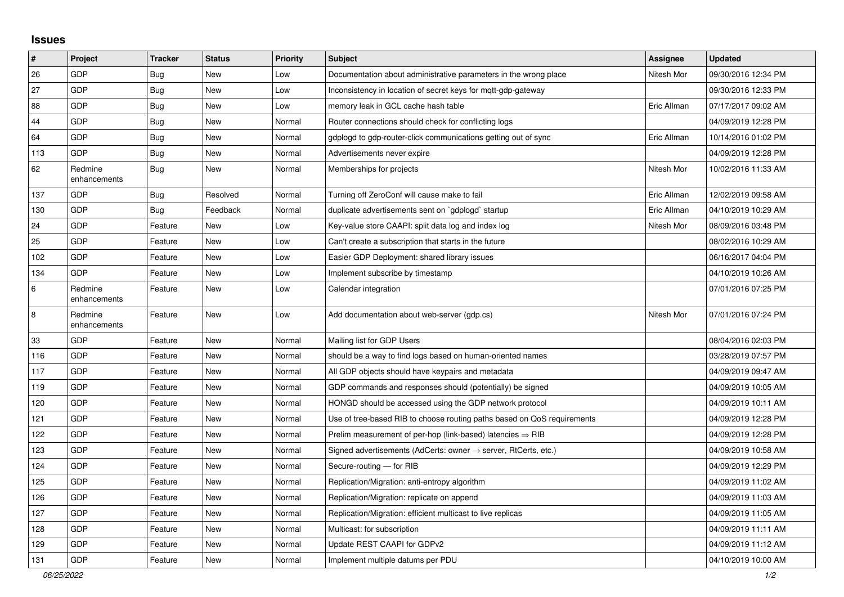## **Issues**

| #       | Project                 | <b>Tracker</b> | <b>Status</b> | <b>Priority</b> | <b>Subject</b>                                                          | <b>Assignee</b> | <b>Updated</b>      |
|---------|-------------------------|----------------|---------------|-----------------|-------------------------------------------------------------------------|-----------------|---------------------|
| 26      | <b>GDP</b>              | <b>Bug</b>     | <b>New</b>    | Low             | Documentation about administrative parameters in the wrong place        | Nitesh Mor      | 09/30/2016 12:34 PM |
| 27      | <b>GDP</b>              | Bug            | <b>New</b>    | Low             | Inconsistency in location of secret keys for mgtt-gdp-gateway           |                 | 09/30/2016 12:33 PM |
| 88      | <b>GDP</b>              | Bug            | <b>New</b>    | Low             | memory leak in GCL cache hash table                                     | Eric Allman     | 07/17/2017 09:02 AM |
| 44      | <b>GDP</b>              | Bug            | <b>New</b>    | Normal          | Router connections should check for conflicting logs                    |                 | 04/09/2019 12:28 PM |
| 64      | <b>GDP</b>              | <b>Bug</b>     | <b>New</b>    | Normal          | gdplogd to gdp-router-click communications getting out of sync          | Eric Allman     | 10/14/2016 01:02 PM |
| 113     | <b>GDP</b>              | <b>Bug</b>     | <b>New</b>    | Normal          | Advertisements never expire                                             |                 | 04/09/2019 12:28 PM |
| 62      | Redmine<br>enhancements | Bug            | <b>New</b>    | Normal          | Memberships for projects                                                | Nitesh Mor      | 10/02/2016 11:33 AM |
| 137     | <b>GDP</b>              | Bug            | Resolved      | Normal          | Turning off ZeroConf will cause make to fail                            | Eric Allman     | 12/02/2019 09:58 AM |
| 130     | GDP                     | <b>Bug</b>     | Feedback      | Normal          | duplicate advertisements sent on `gdplogd` startup                      | Eric Allman     | 04/10/2019 10:29 AM |
| 24      | GDP                     | Feature        | <b>New</b>    | Low             | Key-value store CAAPI: split data log and index log                     | Nitesh Mor      | 08/09/2016 03:48 PM |
| 25      | <b>GDP</b>              | Feature        | <b>New</b>    | Low             | Can't create a subscription that starts in the future                   |                 | 08/02/2016 10:29 AM |
| 102     | <b>GDP</b>              | Feature        | <b>New</b>    | Low             | Easier GDP Deployment: shared library issues                            |                 | 06/16/2017 04:04 PM |
| 134     | <b>GDP</b>              | Feature        | <b>New</b>    | Low             | Implement subscribe by timestamp                                        |                 | 04/10/2019 10:26 AM |
| $\,6\,$ | Redmine<br>enhancements | Feature        | <b>New</b>    | Low             | Calendar integration                                                    |                 | 07/01/2016 07:25 PM |
| 8       | Redmine<br>enhancements | Feature        | <b>New</b>    | Low             | Add documentation about web-server (gdp.cs)                             | Nitesh Mor      | 07/01/2016 07:24 PM |
| 33      | <b>GDP</b>              | Feature        | <b>New</b>    | Normal          | Mailing list for GDP Users                                              |                 | 08/04/2016 02:03 PM |
| 116     | <b>GDP</b>              | Feature        | <b>New</b>    | Normal          | should be a way to find logs based on human-oriented names              |                 | 03/28/2019 07:57 PM |
| 117     | <b>GDP</b>              | Feature        | <b>New</b>    | Normal          | All GDP objects should have keypairs and metadata                       |                 | 04/09/2019 09:47 AM |
| 119     | <b>GDP</b>              | Feature        | <b>New</b>    | Normal          | GDP commands and responses should (potentially) be signed               |                 | 04/09/2019 10:05 AM |
| 120     | GDP                     | Feature        | <b>New</b>    | Normal          | HONGD should be accessed using the GDP network protocol                 |                 | 04/09/2019 10:11 AM |
| 121     | <b>GDP</b>              | Feature        | <b>New</b>    | Normal          | Use of tree-based RIB to choose routing paths based on QoS requirements |                 | 04/09/2019 12:28 PM |
| 122     | <b>GDP</b>              | Feature        | <b>New</b>    | Normal          | Prelim measurement of per-hop (link-based) latencies $\Rightarrow$ RIB  |                 | 04/09/2019 12:28 PM |
| 123     | <b>GDP</b>              | Feature        | <b>New</b>    | Normal          | Signed advertisements (AdCerts: owner → server, RtCerts, etc.)          |                 | 04/09/2019 10:58 AM |
| 124     | <b>GDP</b>              | Feature        | <b>New</b>    | Normal          | Secure-routing - for RIB                                                |                 | 04/09/2019 12:29 PM |
| 125     | <b>GDP</b>              | Feature        | <b>New</b>    | Normal          | Replication/Migration: anti-entropy algorithm                           |                 | 04/09/2019 11:02 AM |
| 126     | <b>GDP</b>              | Feature        | <b>New</b>    | Normal          | Replication/Migration: replicate on append                              |                 | 04/09/2019 11:03 AM |
| 127     | <b>GDP</b>              | Feature        | <b>New</b>    | Normal          | Replication/Migration: efficient multicast to live replicas             |                 | 04/09/2019 11:05 AM |
| 128     | <b>GDP</b>              | Feature        | <b>New</b>    | Normal          | Multicast: for subscription                                             |                 | 04/09/2019 11:11 AM |
| 129     | <b>GDP</b>              | Feature        | <b>New</b>    | Normal          | Update REST CAAPI for GDPv2                                             |                 | 04/09/2019 11:12 AM |
| 131     | GDP                     | Feature        | <b>New</b>    | Normal          | Implement multiple datums per PDU                                       |                 | 04/10/2019 10:00 AM |